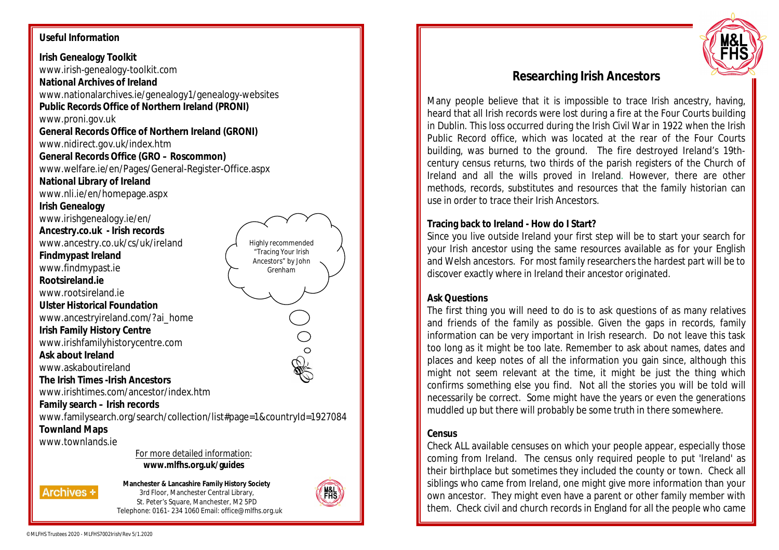#### **Useful Information**

**Irish Genealogy Toolkit** www.irish-genealogy-toolkit.com **National Archives of Ireland** www.nationalarchives.ie/genealogy1/genealogy-websites **Public Records Office of Northern Ireland (PRONI)** www.proni.gov.uk **General Records Office of Northern Ireland (GRONI)** www.nidirect.gov.uk/index.htm **General Records Office (GRO – Roscommon)** www.welfare.ie/en/Pages/General-Register-Office.aspx **National Library of Ireland** www.nli.ie/en/homepage.aspx **Irish Genealogy** www.irishgenealogy.ie/en/ **Ancestry.co.uk - Irish records** www.ancestry.co.uk/cs/uk/ireland **Findmypast Ireland** www.findmypast.ie **Rootsireland.ie** www.rootsireland.ie **Ulster Historical Foundation** www.ancestryireland.com/?ai\_home **Irish Family History Centre** www.irishfamilyhistorycentre.com **Ask about Ireland** www.askaboutireland **The Irish Times -Irish Ancestors** www.irishtimes.com/ancestor/index.htm **Family search – Irish records** www.familysearch.org/search/collection/list#page=1&countryId=1927084 **Townland Maps** www.townlands.ie For more detailed information: **www.mlfhs.org.uk/guides** Highly recommended "Tracing Your Irish Ancestors" by John Grenham





# **Researching Irish Ancestors**

Many people believe that it is impossible to trace Irish ancestry, having, heard that all Irish records were lost during a fire at the Four Courts building in Dublin. This loss occurred during the Irish Civil War in 1922 when the Irish Public Record office, which was located at the rear of the Four Courts building, was burned to the ground. The fire destroyed Ireland's 19thcentury census returns, two thirds of the parish registers of the Church of Ireland and all the wills proved in Ireland. However, there are other methods, records, substitutes and resources that the family historian can use in order to trace their Irish Ancestors.

# **Tracing back to Ireland - How do I Start?**

Since you live outside Ireland your first step will be to start your search for your Irish ancestor using the same resources available as for your English and Welsh ancestors. For most family researchers the hardest part will be to discover exactly where in Ireland their ancestor originated.

## **Ask Questions**

The first thing you will need to do is to ask questions of as many relatives and friends of the family as possible. Given the gaps in records, family information can be very important in Irish research. Do not leave this task too long as it might be too late. Remember to ask about names, dates and places and keep notes of all the information you gain since, although this might not seem relevant at the time, it might be just the thing which confirms something else you find. Not all the stories you will be told will necessarily be correct. Some might have the years or even the generations muddled up but there will probably be some truth in there somewhere.

## **Census**

Check ALL available censuses on which your people appear, especially those coming from Ireland. The census only required people to put 'Ireland' as their birthplace but sometimes they included the county or town. Check all siblings who came from Ireland, one might give more information than your own ancestor. They might even have a parent or other family member with them. Check civil and church records in England for all the people who came

**Archives +** 

©MLFHS Trustees 2020 - MLFHS7002Irish/Rev 5/1.2020

**Manchester & Lancashire Family History Society** 3rd Floor, Manchester Central Library, St. Peter's Square, Manchester, M2 5PD Telephone: 0161- 234 1060 Email: office@mlfhs.org.uk